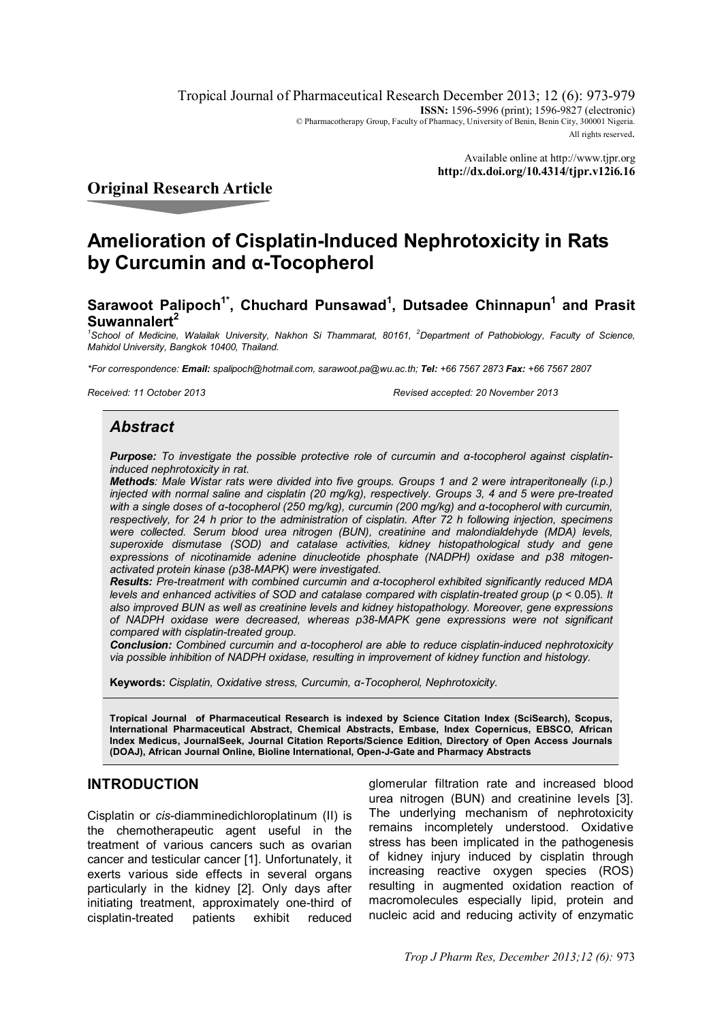Tropical Journal of Pharmaceutical Research December 2013; 12 (6): 973-979 **ISSN:** 1596-5996 (print): 1596-9827 (electronic) © Pharmacotherapy Group, Faculty of Pharmacy, University of Benin, Benin City, 300001 Nigeria. All rights reserved.

> Available online at http://www.tjpr.org **http://dx.doi.org/10.4314/tjpr.v12i6.16**

# **Original Research Article**

# **Amelioration of Cisplatin-Induced Nephrotoxicity in Rats by Curcumin and α-Tocopherol**

# **Sarawoot Palipoch1\*, Chuchard Punsawad<sup>1</sup> , Dutsadee Chinnapun<sup>1</sup> and Prasit Suwannalert<sup>2</sup>**

<sup>1</sup> School of Medicine, Walailak University, Nakhon Si Thammarat, 80161, <sup>2</sup>Department of Pathobiology, Faculty of Science, *Mahidol University, Bangkok 10400, Thailand.*

*\*For correspondence: Email: spalipoch@hotmail.com, sarawoot.pa@wu.ac.th; Tel: +66 7567 2873 Fax: +66 7567 2807*

*Received: 11 October 2013 Revised accepted: 20 November 2013*

### *Abstract*

*Purpose: To investigate the possible protective role of curcumin and α-tocopherol against cisplatininduced nephrotoxicity in rat.* 

*Methods: Male Wistar rats were divided into five groups. Groups 1 and 2 were intraperitoneally (i.p.) injected with normal saline and cisplatin (20 mg/kg), respectively. Groups 3, 4 and 5 were pre-treated with a single doses of α-tocopherol (250 mg/kg), curcumin (200 mg/kg) and α-tocopherol with curcumin, respectively, for 24 h prior to the administration of cisplatin. After 72 h following injection, specimens were collected. Serum blood urea nitrogen (BUN), creatinine and malondialdehyde (MDA) levels, superoxide dismutase (SOD) and catalase activities, kidney histopathological study and gene expressions of nicotinamide adenine dinucleotide phosphate (NADPH) oxidase and p38 mitogenactivated protein kinase (p38-MAPK) were investigated.*

*Results: Pre-treatment with combined curcumin and α-tocopherol exhibited significantly reduced MDA levels and enhanced activities of SOD and catalase compared with cisplatin-treated group (* $p$  *< 0.05). It also improved BUN as well as creatinine levels and kidney histopathology. Moreover, gene expressions of NADPH oxidase were decreased, whereas p38-MAPK gene expressions were not significant compared with cisplatin-treated group.* 

*Conclusion: Combined curcumin and α-tocopherol are able to reduce cisplatin-induced nephrotoxicity via possible inhibition of NADPH oxidase, resulting in improvement of kidney function and histology.*

**Keywords:** *Cisplatin, Oxidative stress, Curcumin, α-Tocopherol, Nephrotoxicity.*

**Tropical Journal of Pharmaceutical Research is indexed by Science Citation Index (SciSearch), Scopus, International Pharmaceutical Abstract, Chemical Abstracts, Embase, Index Copernicus, EBSCO, African Index Medicus, JournalSeek, Journal Citation Reports/Science Edition, Directory of Open Access Journals (DOAJ), African Journal Online, Bioline International, Open-J-Gate and Pharmacy Abstracts**

### **INTRODUCTION**

Cisplatin or *cis*-diamminedichloroplatinum (II) is the chemotherapeutic agent useful in the treatment of various cancers such as ovarian cancer and testicular cancer [1]. Unfortunately, it exerts various side effects in several organs particularly in the kidney [2]. Only days after initiating treatment, approximately one-third of cisplatin-treated patients exhibit reduced

glomerular filtration rate and increased blood urea nitrogen (BUN) and creatinine levels [3]. The underlying mechanism of nephrotoxicity remains incompletely understood. Oxidative stress has been implicated in the pathogenesis of kidney injury induced by cisplatin through increasing reactive oxygen species (ROS) resulting in augmented oxidation reaction of macromolecules especially lipid, protein and nucleic acid and reducing activity of enzymatic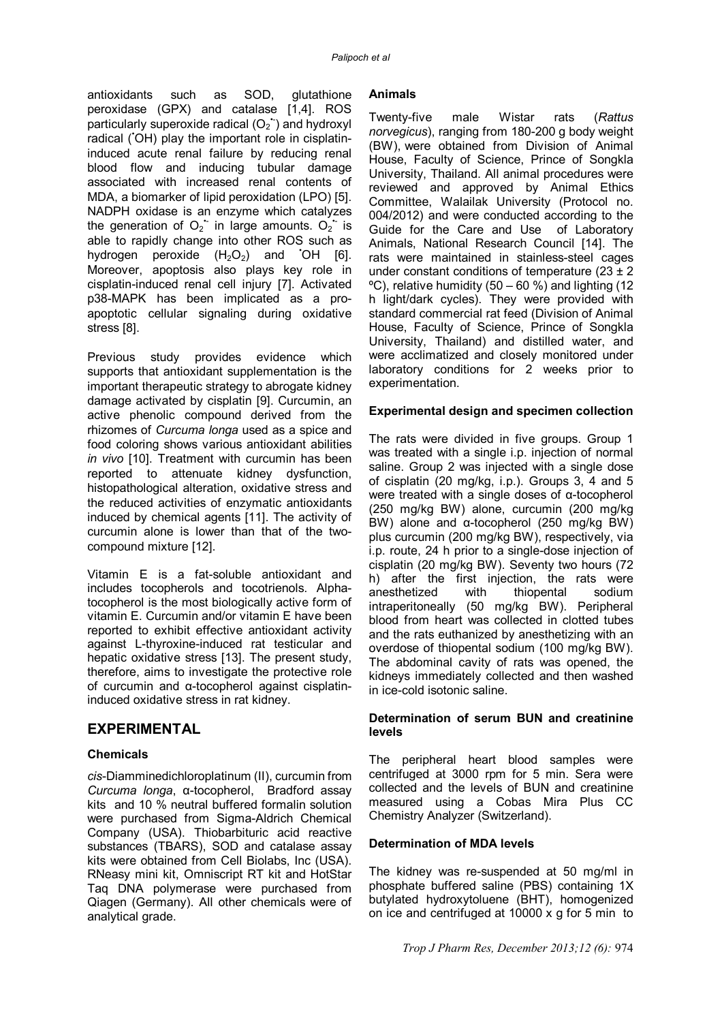antioxidants such as SOD, glutathione peroxidase (GPX) and catalase [1,4]. ROS particularly superoxide radical  $(O_2)$  and hydroxyl radical (OH) play the important role in cisplatininduced acute renal failure by reducing renal blood flow and inducing tubular damage associated with increased renal contents of MDA, a biomarker of lipid peroxidation (LPO) [5]. NADPH oxidase is an enzyme which catalyzes the generation of  $O_2$  in large amounts.  $O_2$  is able to rapidly change into other ROS such as hydrogen peroxide  $(H_2O_2)$  and OH [6]. Moreover, apoptosis also plays key role in cisplatin-induced renal cell injury [7]. Activated p38-MAPK has been implicated as a proapoptotic cellular signaling during oxidative stress [8].

Previous study provides evidence which supports that antioxidant supplementation is the important therapeutic strategy to abrogate kidney damage activated by cisplatin [9]. Curcumin, an active phenolic compound derived from the rhizomes of *Curcuma longa* used as a spice and food coloring shows various antioxidant abilities *in vivo* [10]. Treatment with curcumin has been reported to attenuate kidney dysfunction, histopathological alteration, oxidative stress and the reduced activities of enzymatic antioxidants induced by chemical agents [11]. The activity of curcumin alone is lower than that of the twocompound mixture [12].

Vitamin E is a fat-soluble antioxidant and includes tocopherols and tocotrienols. Αlphatocopherol is the most biologically active form of vitamin E. Curcumin and/or vitamin E have been reported to exhibit effective antioxidant activity against L-thyroxine-induced rat testicular and hepatic oxidative stress [13]. The present study, therefore, aims to investigate the protective role of curcumin and α-tocopherol against cisplatininduced oxidative stress in rat kidney.

### **EXPERIMENTAL**

#### **Chemicals**

*cis*-Diamminedichloroplatinum (II), curcumin from *Curcuma longa*, α-tocopherol, Bradford assay kits and 10 % neutral buffered formalin solution were purchased from Sigma-Aldrich Chemical Company (USA). Thiobarbituric acid reactive substances (TBARS), SOD and catalase assay kits were obtained from Cell Biolabs, Inc (USA). RNeasy mini kit, Omniscript RT kit and HotStar Taq DNA polymerase were purchased from Qiagen (Germany). All other chemicals were of analytical grade.

#### **Animals**

Twenty-five male Wistar rats (*Rattus norvegicus*), ranging from 180-200 g body weight (BW), were obtained from Division of Animal House, Faculty of Science, Prince of Songkla University, Thailand. All animal procedures were reviewed and approved by Animal Ethics Committee, Walailak University (Protocol no. 004/2012) and were conducted according to the Guide for the Care and Use of Laboratory Animals, National Research Council [14]. The rats were maintained in stainless-steel cages under constant conditions of temperature  $(23 \pm 2)$  $\degree$ C), relative humidity (50 – 60 %) and lighting (12 h light/dark cycles). They were provided with standard commercial rat feed (Division of Animal House, Faculty of Science, Prince of Songkla University, Thailand) and distilled water, and were acclimatized and closely monitored under laboratory conditions for 2 weeks prior to experimentation.

#### **Experimental design and specimen collection**

The rats were divided in five groups. Group 1 was treated with a single *i.p.* injection of normal saline. Group 2 was injected with a single dose of cisplatin (20 mg/kg, i.p.). Groups 3, 4 and 5 were treated with a single doses of α-tocopherol (250 mg/kg BW) alone, curcumin (200 mg/kg BW) alone and α-tocopherol (250 mg/kg BW) plus curcumin (200 mg/kg BW), respectively, via i.p. route, 24 h prior to a single-dose injection of cisplatin (20 mg/kg BW). Seventy two hours (72 h) after the first injection, the rats were anesthetized with thiopental sodium intraperitoneally (50 mg/kg BW). Peripheral blood from heart was collected in clotted tubes and the rats euthanized by anesthetizing with an overdose of thiopental sodium (100 mg/kg BW). The abdominal cavity of rats was opened, the kidneys immediately collected and then washed in ice-cold isotonic saline.

#### **Determination of serum BUN and creatinine levels**

The peripheral heart blood samples were centrifuged at 3000 rpm for 5 min. Sera were collected and the levels of BUN and creatinine measured using a Cobas Mira Plus CC Chemistry Analyzer (Switzerland).

#### **Determination of MDA levels**

The kidney was re-suspended at 50 mg/ml in phosphate buffered saline (PBS) containing 1X butylated hydroxytoluene (BHT), homogenized on ice and centrifuged at 10000 x g for 5 min to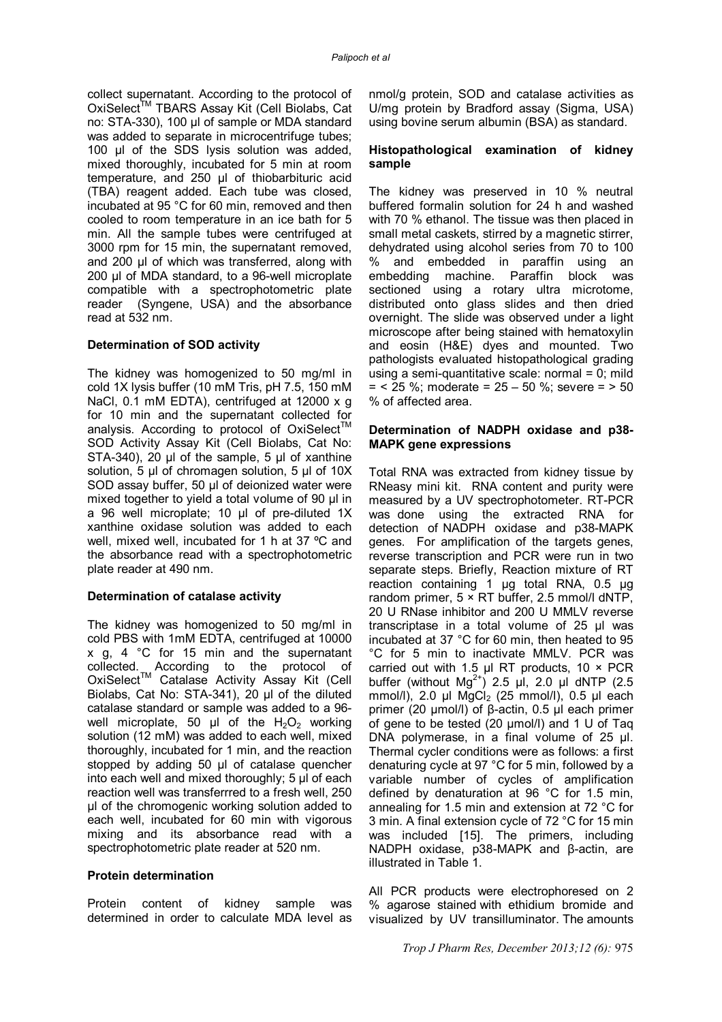collect supernatant. According to the protocol of OxiSelect<sup>™</sup> TBARS Assay Kit (Cell Biolabs, Cat no: STA-330), 100 µl of sample or MDA standard was added to separate in microcentrifuge tubes; 100 µl of the SDS lysis solution was added, mixed thoroughly, incubated for 5 min at room temperature, and 250 µl of thiobarbituric acid (TBA) reagent added. Each tube was closed, incubated at 95 °C for 60 min, removed and then cooled to room temperature in an ice bath for 5 min. All the sample tubes were centrifuged at 3000 rpm for 15 min, the supernatant removed, and 200 µl of which was transferred, along with 200 µl of MDA standard, to a 96-well microplate compatible with a spectrophotometric plate reader (Syngene, USA) and the absorbance read at 532 nm.

#### **Determination of SOD activity**

The kidney was homogenized to 50 mg/ml in cold 1X lysis buffer (10 mM Tris, pH 7.5, 150 mM NaCl, 0.1 mM EDTA), centrifuged at 12000 x g for 10 min and the supernatant collected for analysis. According to protocol of OxiSelect<sup>™</sup> SOD Activity Assay Kit (Cell Biolabs, Cat No: STA-340), 20 µl of the sample, 5 µl of xanthine solution, 5 µl of chromagen solution, 5 µl of 10X SOD assay buffer, 50 µl of deionized water were mixed together to yield a total volume of 90 µl in a 96 well microplate; 10 µl of pre-diluted 1X xanthine oxidase solution was added to each well, mixed well, incubated for 1 h at 37 ºC and the absorbance read with a spectrophotometric plate reader at 490 nm.

#### **Determination of catalase activity**

The kidney was homogenized to 50 mg/ml in cold PBS with 1mM EDTA, centrifuged at 10000 x g, 4 °C for 15 min and the supernatant collected. According to the protocol of OxiSelect™ Catalase Activity Assay Kit (Cell Biolabs, Cat No: STA-341), 20 µl of the diluted catalase standard or sample was added to a 96 well microplate, 50  $\mu$ l of the H<sub>2</sub>O<sub>2</sub> working solution (12 mM) was added to each well, mixed thoroughly, incubated for 1 min, and the reaction stopped by adding 50 µl of catalase quencher into each well and mixed thoroughly; 5 µl of each reaction well was transferrred to a fresh well, 250 µl of the chromogenic working solution added to each well, incubated for 60 min with vigorous mixing and its absorbance read with a spectrophotometric plate reader at 520 nm.

#### **Protein determination**

Protein content of kidney sample was determined in order to calculate MDA level as nmol/g protein, SOD and catalase activities as U/mg protein by Bradford assay (Sigma, USA) using bovine serum albumin (BSA) as standard.

#### **Histopathological examination of kidney sample**

The kidney was preserved in 10 % neutral buffered formalin solution for 24 h and washed with 70 % ethanol. The tissue was then placed in small metal caskets, stirred by a magnetic stirrer, dehydrated using alcohol series from 70 to 100 % and embedded in paraffin using an embedding machine. Paraffin block was sectioned using a rotary ultra microtome, distributed onto glass slides and then dried overnight. The slide was observed under a light microscope after being stained with hematoxylin and eosin (H&E) dyes and mounted. Two pathologists evaluated histopathological grading using a semi-quantitative scale: normal  $= 0$ ; mild  $=$  < 25 %; moderate = 25 – 50 %; severe =  $> 50$ % of affected area.

#### **Determination of NADPH oxidase and p38- MAPK gene expressions**

Total RNA was extracted from kidney tissue by RNeasy mini kit. RNA content and purity were measured by a UV spectrophotometer. RT-PCR was done using the extracted RNA for detection of NADPH oxidase and p38-MAPK genes. For amplification of the targets genes, reverse transcription and PCR were run in two separate steps. Briefly, Reaction mixture of RT reaction containing 1 μg total RNA, 0.5 μg random primer, 5 × RT buffer, 2.5 mmol/l dNTP, 20 U RNase inhibitor and 200 U MMLV reverse transcriptase in a total volume of 25 μl was incubated at 37 °C for 60 min, then heated to 95 °C for 5 min to inactivate MMLV. PCR was carried out with 1.5 μl RT products, 10  $\times$  PCR buffer (without  $Mg^{2+}$ ) 2.5 μl, 2.0 μl dNTP (2.5 mmol/l), 2.0 μl  $MgCl<sub>2</sub>$  (25 mmol/l), 0.5 μl each primer (20 μmol/l) of β-actin, 0.5 μl each primer of gene to be tested (20 μmol/l) and 1 U of Taq DNA polymerase, in a final volume of 25 μl. Thermal cycler conditions were as follows: a first denaturing cycle at 97 °C for 5 min, followed by a variable number of cycles of amplification defined by denaturation at 96 °C for 1.5 min, annealing for 1.5 min and extension at 72 °C for 3 min. A final extension cycle of 72 °C for 15 min was included [15]. The primers, including NADPH oxidase, p38-MAPK and β-actin, are illustrated in Table 1.

All PCR products were electrophoresed on 2 % agarose stained with ethidium bromide and visualized by UV transilluminator. The amounts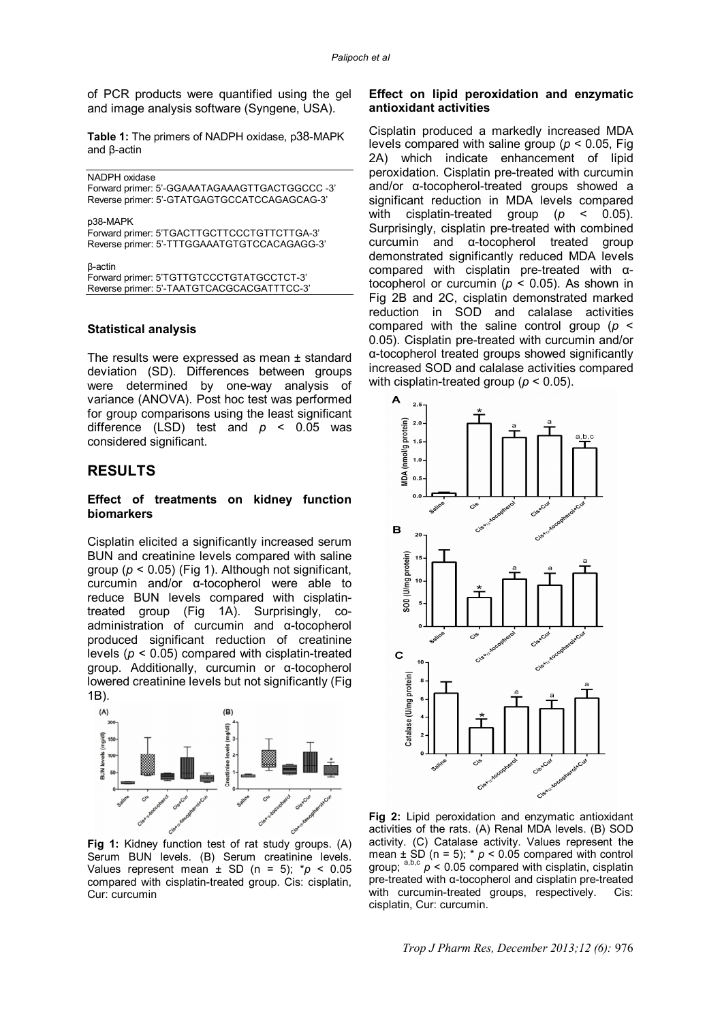of PCR products were quantified using the gel and image analysis software (Syngene, USA).

**Table 1:** The primers of NADPH oxidase, p38-MAPK and β-actin

| NADPH oxidase<br>Forward primer: 5'-GGAAATAGAAAGTTGACTGGCCC -3'<br>Reverse primer: 5'-GTATGAGTGCCATCCAGAGCAG-3' |
|-----------------------------------------------------------------------------------------------------------------|
| p38-MAPK<br>Forward primer: 5'TGACTTGCTTCCCTGTTCTTGA-3'<br>Reverse primer: 5'-TTTGGAAATGTGTCCACAGAGG-3'         |
| β-actin<br>Forward primer: 5'TGTTGTCCCTGTATGCCTCT-3'<br>Reverse primer: 5'-TAATGTCACGCACGATTTCC-3'              |
|                                                                                                                 |

#### **Statistical analysis**

The results were expressed as mean ± standard deviation (SD). Differences between groups were determined by one-way analysis of variance (ANOVA). Post hoc test was performed for group comparisons using the least significant difference (LSD) test and *p* < 0.05 was considered significant.

### **RESULTS**

#### **Effect of treatments on kidney function biomarkers**

Cisplatin elicited a significantly increased serum BUN and creatinine levels compared with saline group (*p* < 0.05) (Fig 1). Although not significant, curcumin and/or α-tocopherol were able to reduce BUN levels compared with cisplatintreated group (Fig 1A). Surprisingly, coadministration of curcumin and α-tocopherol produced significant reduction of creatinine levels (*p* < 0.05) compared with cisplatin-treated group. Additionally, curcumin or α-tocopherol lowered creatinine levels but not significantly (Fig 1B).



**Fig 1:** Kidney function test of rat study groups. (A) Serum BUN levels. (B) Serum creatinine levels. Values represent mean  $\pm$  SD (n = 5);  $p$  < 0.05 compared with cisplatin-treated group. Cis: cisplatin, Cur: curcumin

#### **Effect on lipid peroxidation and enzymatic antioxidant activities**

Cisplatin produced a markedly increased MDA levels compared with saline group (*p* < 0.05, Fig 2A) which indicate enhancement of lipid peroxidation. Cisplatin pre-treated with curcumin and/or α-tocopherol-treated groups showed a significant reduction in MDA levels compared with cisplatin-treated group (*p* < 0.05). Surprisingly, cisplatin pre-treated with combined curcumin and α-tocopherol treated group demonstrated significantly reduced MDA levels compared with cisplatin pre-treated with αtocopherol or curcumin ( $p < 0.05$ ). As shown in Fig 2B and 2C, cisplatin demonstrated marked reduction in SOD and calalase activities compared with the saline control group (*p* < 0.05). Cisplatin pre-treated with curcumin and/or α-tocopherol treated groups showed significantly increased SOD and calalase activities compared with cisplatin-treated group (*p* < 0.05).



**Fig 2:** Lipid peroxidation and enzymatic antioxidant activities of the rats. (A) Renal MDA levels. (B) SOD activity. (C) Catalase activity. Values represent the mean  $\pm$  SD (n = 5);  $\ast$   $p$  < 0.05 compared with control group;  $a,b,c$   $p < 0.05$  compared with cisplatin, cisplatin pre-treated with α-tocopherol and cisplatin pre-treated with curcumin-treated groups, respectively. Cis: cisplatin, Cur: curcumin.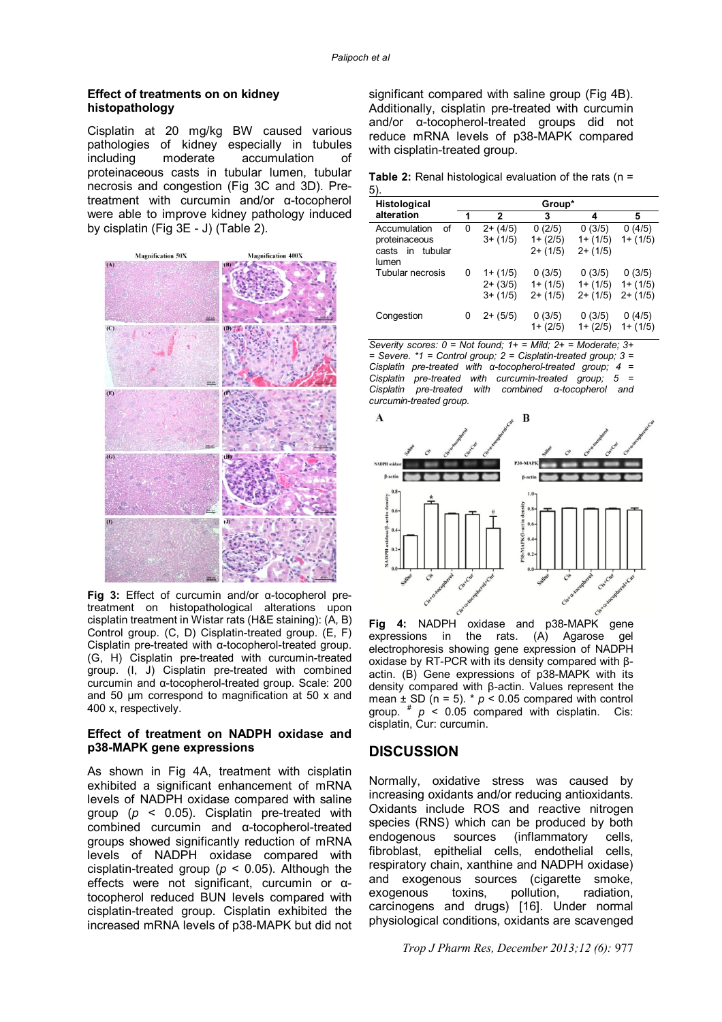#### **Effect of treatments on on kidney histopathology**

Cisplatin at 20 mg/kg BW caused various pathologies of kidney especially in tubules<br>including moderate accumulation of moderate accumulation of proteinaceous casts in tubular lumen, tubular necrosis and congestion (Fig 3C and 3D). Pretreatment with curcumin and/or α-tocopherol were able to improve kidney pathology induced by cisplatin (Fig 3E - J) (Table 2).



**Fig 3:** Effect of curcumin and/or α-tocopherol pretreatment on histopathological alterations upon cisplatin treatment in Wistar rats (H&E staining): (A, B) Control group. (C, D) Cisplatin-treated group. (E, F) Cisplatin pre-treated with α-tocopherol-treated group. (G, H) Cisplatin pre-treated with curcumin-treated group. (I, J) Cisplatin pre-treated with combined curcumin and α-tocopherol-treated group. Scale: 200 and 50 µm correspond to magnification at 50 x and 400 x, respectively.

#### **Effect of treatment on NADPH oxidase and p38-MAPK gene expressions**

As shown in Fig 4A, treatment with cisplatin exhibited a significant enhancement of mRNA levels of NADPH oxidase compared with saline group (*p* < 0.05). Cisplatin pre-treated with combined curcumin and α-tocopherol-treated groups showed significantly reduction of mRNA levels of NADPH oxidase compared with cisplatin-treated group (*p* < 0.05). Although the effects were not significant, curcumin or αtocopherol reduced BUN levels compared with cisplatin-treated group. Cisplatin exhibited the increased mRNA levels of p38-MAPK but did not significant compared with saline group (Fig 4B). Additionally, cisplatin pre-treated with curcumin and/or α-tocopherol-treated groups did not reduce mRNA levels of p38-MAPK compared with cisplatin-treated group.

**Table 2:** Renal histological evaluation of the rats (n = 5).

| <b>Histological</b>                                                 | Group* |                                        |                                     |                                    |                                    |
|---------------------------------------------------------------------|--------|----------------------------------------|-------------------------------------|------------------------------------|------------------------------------|
| alteration                                                          |        | 2                                      | 3                                   | 4                                  | 5                                  |
| Accumulation<br>οf<br>proteinaceous<br>in tubular<br>casts<br>lumen | 0      | $2+ (4/5)$<br>$3+ (1/5)$               | 0(2/5)<br>$1 + (2/5)$<br>$2+ (1/5)$ | 0(3/5)<br>$1+ (1/5)$<br>$2+ (1/5)$ | 0(4/5)<br>$1+ (1/5)$               |
| Tubular necrosis                                                    | 0      | $1+ (1/5)$<br>$2+ (3/5)$<br>$3+ (1/5)$ | 0(3/5)<br>$1 + (1/5)$<br>$2+ (1/5)$ | 0(3/5)<br>$1+ (1/5)$<br>$2+ (1/5)$ | 0(3/5)<br>$1+ (1/5)$<br>$2+ (1/5)$ |
| Congestion                                                          | 0      | $2+ (5/5)$                             | 0(3/5)<br>$1 + (2/5)$               | 0(3/5)<br>$1 + (2/5)$              | 0(4/5)<br>$1+ (1/5)$               |

*Severity scores: 0 = Not found; 1+ = Mild; 2+ = Moderate; 3+ = Severe. \*1 = Control group; 2 = Cisplatin-treated group; 3 = Cisplatin pre-treated with α-tocopherol-treated group; 4 = Cisplatin pre-treated with curcumin-treated group; 5 = Cisplatin pre-treated with combined α-tocopherol and curcumin-treated group.*



**Fig 4:** NADPH oxidase and p38-MAPK gene expressions in the rats. (A) Agarose gel electrophoresis showing gene expression of NADPH oxidase by RT-PCR with its density compared with βactin. (B) Gene expressions of p38-MAPK with its density compared with β-actin. Values represent the mean  $\pm$  SD (n = 5). \*  $p < 0.05$  compared with control group.  $\pi$   $p$  < 0.05 compared with cisplatin. Cis: cisplatin, Cur: curcumin.

### **DISCUSSION**

Normally, oxidative stress was caused by increasing oxidants and/or reducing antioxidants. Oxidants include ROS and reactive nitrogen species (RNS) which can be produced by both endogenous sources (inflammatory cells, fibroblast, epithelial cells, endothelial cells, respiratory chain, xanthine and NADPH oxidase) and exogenous sources (cigarette smoke, exogenous toxins, pollution, radiation, carcinogens and drugs) [16]. Under normal physiological conditions, oxidants are scavenged

*Trop J Pharm Res, December 2013;12 (6):* 977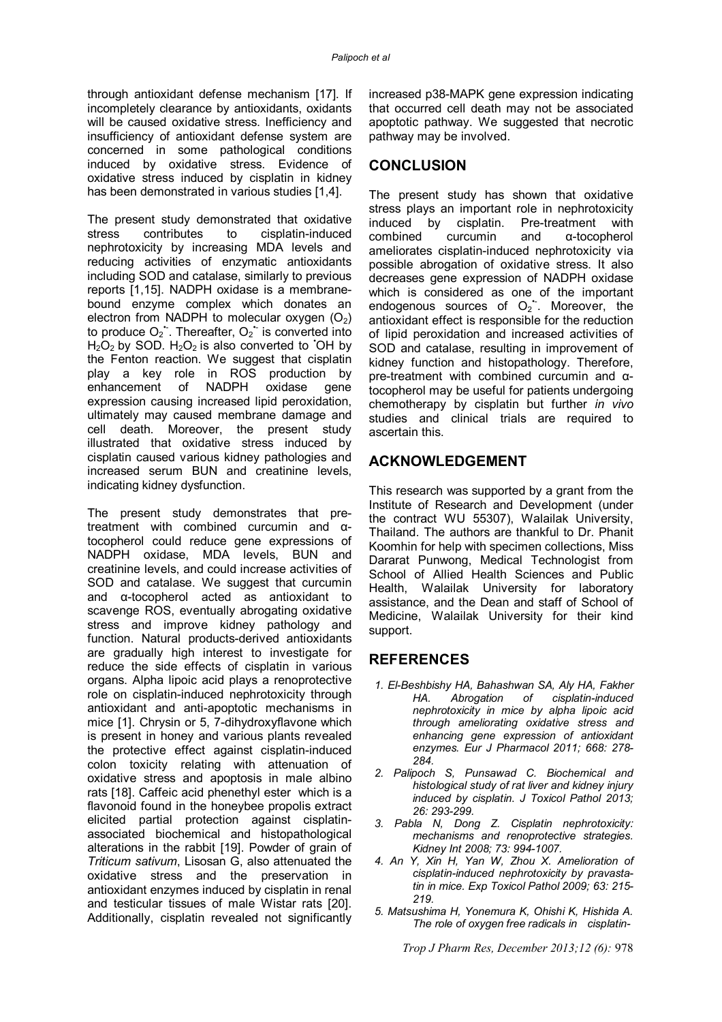through antioxidant defense mechanism [17]. If incompletely clearance by antioxidants, oxidants will be caused oxidative stress. Inefficiency and insufficiency of antioxidant defense system are concerned in some pathological conditions induced by oxidative stress. Evidence of oxidative stress induced by cisplatin in kidney has been demonstrated in various studies [1,4].

The present study demonstrated that oxidative stress contributes to cisplatin-induced nephrotoxicity by increasing MDA levels and reducing activities of enzymatic antioxidants including SOD and catalase, similarly to previous reports [1,15]. NADPH oxidase is a membranebound enzyme complex which donates an electron from NADPH to molecular oxygen  $(O<sub>2</sub>)$ to produce  $O_2$ . Thereafter,  $O_2$  is converted into  $H_2O_2$  by SOD.  $H_2O_2$  is also converted to OH by the Fenton reaction. We suggest that cisplatin play a key role in ROS production by<br>enhancement of NADPH oxidase gene enhancement of NADPH oxidase gene expression causing increased lipid peroxidation, ultimately may caused membrane damage and cell death. Moreover, the present study illustrated that oxidative stress induced by cisplatin caused various kidney pathologies and increased serum BUN and creatinine levels, indicating kidney dysfunction.

The present study demonstrates that pretreatment with combined curcumin and αtocopherol could reduce gene expressions of NADPH oxidase, MDA levels, BUN and creatinine levels, and could increase activities of SOD and catalase. We suggest that curcumin and α-tocopherol acted as antioxidant to scavenge ROS, eventually abrogating oxidative stress and improve kidney pathology and function. Natural products-derived antioxidants are gradually high interest to investigate for reduce the side effects of cisplatin in various organs. Alpha lipoic acid plays a renoprotective role on cisplatin-induced nephrotoxicity through antioxidant and anti-apoptotic mechanisms in mice [1]. Chrysin or 5, 7-dihydroxyflavone which is present in honey and various plants revealed the protective effect against cisplatin-induced colon toxicity relating with attenuation of oxidative stress and apoptosis in male albino rats [18]. Caffeic acid phenethyl ester which is a flavonoid found in the honeybee propolis extract elicited partial protection against cisplatinassociated biochemical and histopathological alterations in the rabbit [19]. Powder of grain of *Triticum sativum*, Lisosan G, also attenuated the oxidative stress and the preservation in antioxidant enzymes induced by cisplatin in renal and testicular tissues of male Wistar rats [20]. Additionally, cisplatin revealed not significantly

increased p38-MAPK gene expression indicating that occurred cell death may not be associated apoptotic pathway. We suggested that necrotic pathway may be involved.

# **CONCLUSION**

The present study has shown that oxidative stress plays an important role in nephrotoxicity<br>induced by cisplatin. Pre-treatment with Pre-treatment with combined curcumin and α-tocopherol ameliorates cisplatin-induced nephrotoxicity via possible abrogation of oxidative stress. It also decreases gene expression of NADPH oxidase which is considered as one of the important endogenous sources of  $O_2$ . Moreover, the antioxidant effect is responsible for the reduction of lipid peroxidation and increased activities of SOD and catalase, resulting in improvement of kidney function and histopathology. Therefore, pre-treatment with combined curcumin and αtocopherol may be useful for patients undergoing chemotherapy by cisplatin but further *in vivo* studies and clinical trials are required to ascertain this.

# **ACKNOWLEDGEMENT**

This research was supported by a grant from the Institute of Research and Development (under the contract WU 55307), Walailak University, Thailand. The authors are thankful to Dr. Phanit Koomhin for help with specimen collections, Miss Dararat Punwong, Medical Technologist from School of Allied Health Sciences and Public Health, Walailak University for laboratory assistance, and the Dean and staff of School of Medicine, Walailak University for their kind support.

### **REFERENCES**

- *1. El-Beshbishy HA, Bahashwan SA, Aly HA, Fakher HA. Abrogation of cisplatin-induced nephrotoxicity in mice by alpha lipoic acid through ameliorating oxidative stress and enhancing gene expression of antioxidant enzymes. Eur J Pharmacol 2011; 668: 278- 284.*
- *2. Palipoch S, Punsawad C. Biochemical and histological study of rat liver and kidney injury induced by cisplatin*. *J Toxicol Pathol 2013; 26: 293-299.*
- *3. Pabla N, Dong Z. Cisplatin nephrotoxicity: mechanisms and renoprotective strategies. Kidney Int 2008; 73: 994-1007.*
- *4. An Y, Xin H, Yan W, Zhou X. Amelioration of cisplatin-induced nephrotoxicity by pravastatin in mice. Exp Toxicol Pathol 2009; 63: 215- 219.*
- *5. Matsushima H, Yonemura K, Ohishi K, Hishida A. The role of oxygen free radicals in cisplatin-*

*Trop J Pharm Res, December 2013;12 (6):* 978